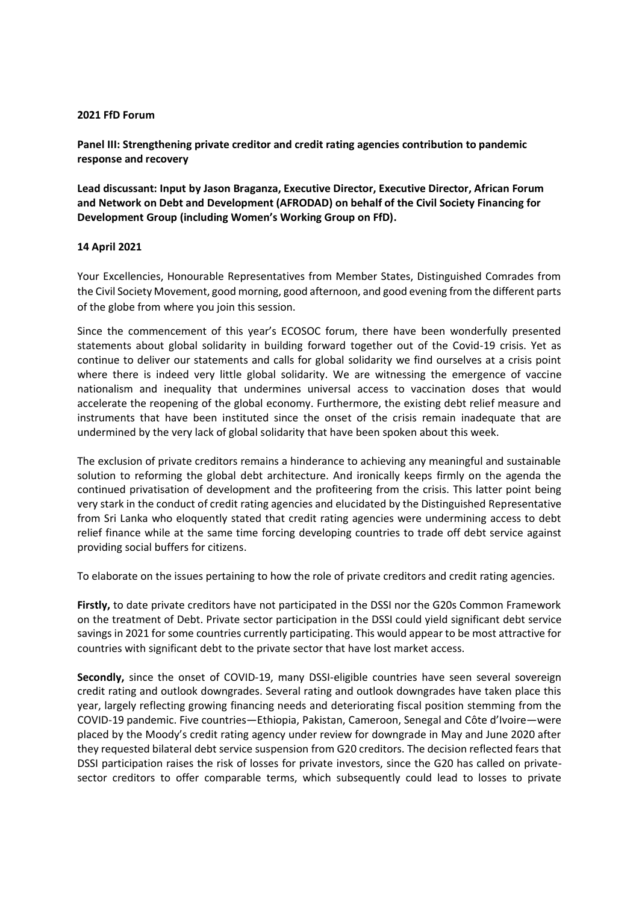## **2021 FfD Forum**

**Panel III: Strengthening private creditor and credit rating agencies contribution to pandemic response and recovery**

**Lead discussant: Input by Jason Braganza, Executive Director, Executive Director, African Forum and Network on Debt and Development (AFRODAD) on behalf of the Civil Society Financing for Development Group (including Women's Working Group on FfD).**

## **14 April 2021**

Your Excellencies, Honourable Representatives from Member States, Distinguished Comrades from the Civil Society Movement, good morning, good afternoon, and good evening from the different parts of the globe from where you join this session.

Since the commencement of this year's ECOSOC forum, there have been wonderfully presented statements about global solidarity in building forward together out of the Covid-19 crisis. Yet as continue to deliver our statements and calls for global solidarity we find ourselves at a crisis point where there is indeed very little global solidarity. We are witnessing the emergence of vaccine nationalism and inequality that undermines universal access to vaccination doses that would accelerate the reopening of the global economy. Furthermore, the existing debt relief measure and instruments that have been instituted since the onset of the crisis remain inadequate that are undermined by the very lack of global solidarity that have been spoken about this week.

The exclusion of private creditors remains a hinderance to achieving any meaningful and sustainable solution to reforming the global debt architecture. And ironically keeps firmly on the agenda the continued privatisation of development and the profiteering from the crisis. This latter point being very stark in the conduct of credit rating agencies and elucidated by the Distinguished Representative from Sri Lanka who eloquently stated that credit rating agencies were undermining access to debt relief finance while at the same time forcing developing countries to trade off debt service against providing social buffers for citizens.

To elaborate on the issues pertaining to how the role of private creditors and credit rating agencies.

**Firstly,** to date private creditors have not participated in the DSSI nor the G20s Common Framework on the treatment of Debt. Private sector participation in the DSSI could yield significant debt service savings in 2021 for some countries currently participating. This would appear to be most attractive for countries with significant debt to the private sector that have lost market access.

**Secondly,** since the onset of COVID-19, many DSSI-eligible countries have seen several sovereign credit rating and outlook downgrades. Several rating and outlook downgrades have taken place this year, largely reflecting growing financing needs and deteriorating fiscal position stemming from the COVID-19 pandemic. Five countries—Ethiopia, Pakistan, Cameroon, Senegal and Côte d'Ivoire—were placed by the Moody's credit rating agency under review for downgrade in May and June 2020 after they requested bilateral debt service suspension from G20 creditors. The decision reflected fears that DSSI participation raises the risk of losses for private investors, since the G20 has called on privatesector creditors to offer comparable terms, which subsequently could lead to losses to private